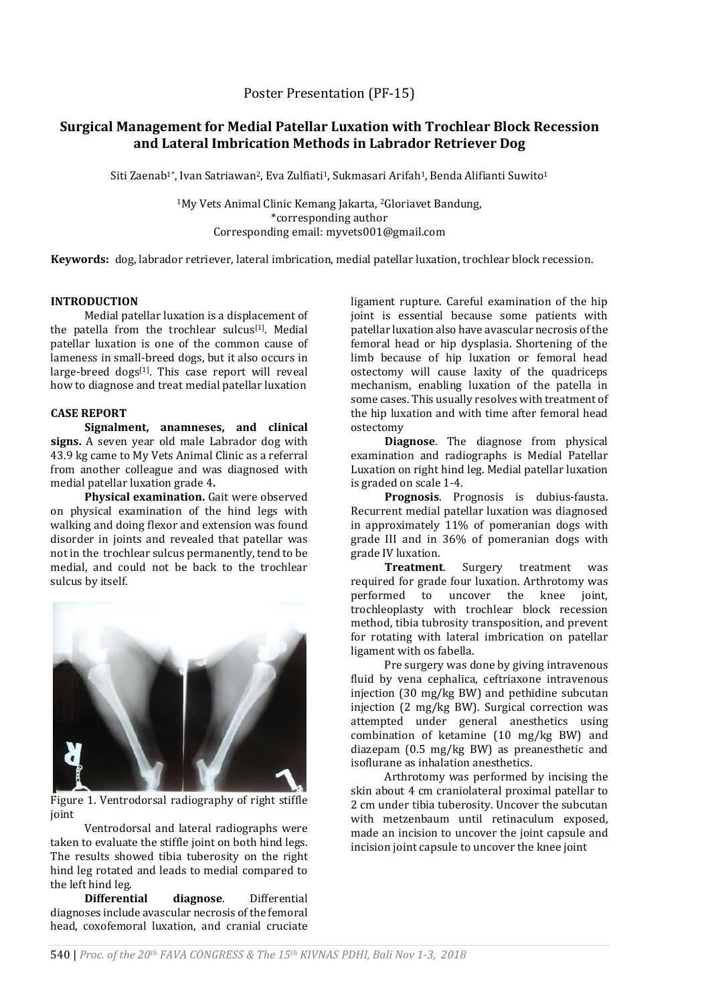# **Surgical Management for Medial Patellar Luxation with Trochlear Block Recession and Lateral Imbrication Methods in Labrador Retriever Dog**

Siti Zaenab<sup>1\*</sup>, Ivan Satriawan<sup>2</sup>, Eva Zulfiati<sup>1</sup>, Sukmasari Arifah<sup>1</sup>, Benda Alifianti Suwito<sup>1</sup>

<sup>1</sup>My Vets Animal Clinic Kemang Jakarta, <sup>2</sup>Gloriavet Bandung, \*corresponding author Corresponding email: myvets001@gmail.com

**Keywords:** dog, labrador retriever, lateral imbrication, medial patellar luxation, trochlear block recession.

#### **INTRODUCTION**

Medial patellar luxation is a displacement of the patella from the trochlear sulcus<sup>[1]</sup>. Medial patellar luxation is one of the common cause of lameness in small-breed dogs, but it also occurs in large-breed dogs<sup>[1]</sup>. This case report will reveal how to diagnose and treat medial patellar luxation

## **CASE REPORT**

**Signalment, anamneses, and clinical signs.** A seven year old male Labrador dog with 43.9 kg came to My Vets Animal Clinic as a referral from another colleague and was diagnosed with medial patellar luxation grade 4**.**

**Physical examination.** Gait were observed on physical examination of the hind legs with walking and doing flexor and extension was found disorder in joints and revealed that patellar was not in the trochlear sulcus permanently, tend to be medial, and could not be back to the trochlear sulcus by itself.



Figure 1. Ventrodorsal radiography of right stiffle joint

Ventrodorsal and lateral radiographs were taken to evaluate the stiffle joint on both hind legs. The results showed tibia tuberosity on the right hind leg rotated and leads to medial compared to the left hind leg.

**Differential diagnose**. Differential diagnoses include avascular necrosis of the femoral head, coxofemoral luxation, and cranial cruciate

ligament rupture. Careful examination of the hip joint is essential because some patients with patellar luxation also have avascular necrosis of the femoral head or hip dysplasia. Shortening of the limb because of hip luxation or femoral head ostectomy will cause laxity of the quadriceps mechanism, enabling luxation of the patella in some cases. This usually resolves with treatment of the hip luxation and with time after femoral head ostectomy

**Diagnose**. The diagnose from physical examination and radiographs is Medial Patellar Luxation on right hind leg. Medial patellar luxation is graded on scale 1-4.

**Prognosis**. Prognosis is dubius-fausta. Recurrent medial patellar luxation was diagnosed in approximately 11% of pomeranian dogs with grade III and in 36% of pomeranian dogs with grade IV luxation.

**Surgery** treatment was required for grade four luxation. Arthrotomy was performed to uncover the knee joint, trochleoplasty with trochlear block recession method, tibia tubrosity transposition, and prevent for rotating with lateral imbrication on patellar ligament with os fabella.

Pre surgery was done by giving intravenous fluid by vena cephalica, ceftriaxone intravenous injection (30 mg/kg BW) and pethidine subcutan injection (2 mg/kg BW). Surgical correction was attempted under general anesthetics using combination of ketamine (10 mg/kg BW) and diazepam (0.5 mg/kg BW) as preanesthetic and isoflurane as inhalation anesthetics.

Arthrotomy was performed by incising the skin about 4 cm craniolateral proximal patellar to 2 cm under tibia tuberosity. Uncover the subcutan with metzenbaum until retinaculum exposed, made an incision to uncover the joint capsule and incision joint capsule to uncover the knee joint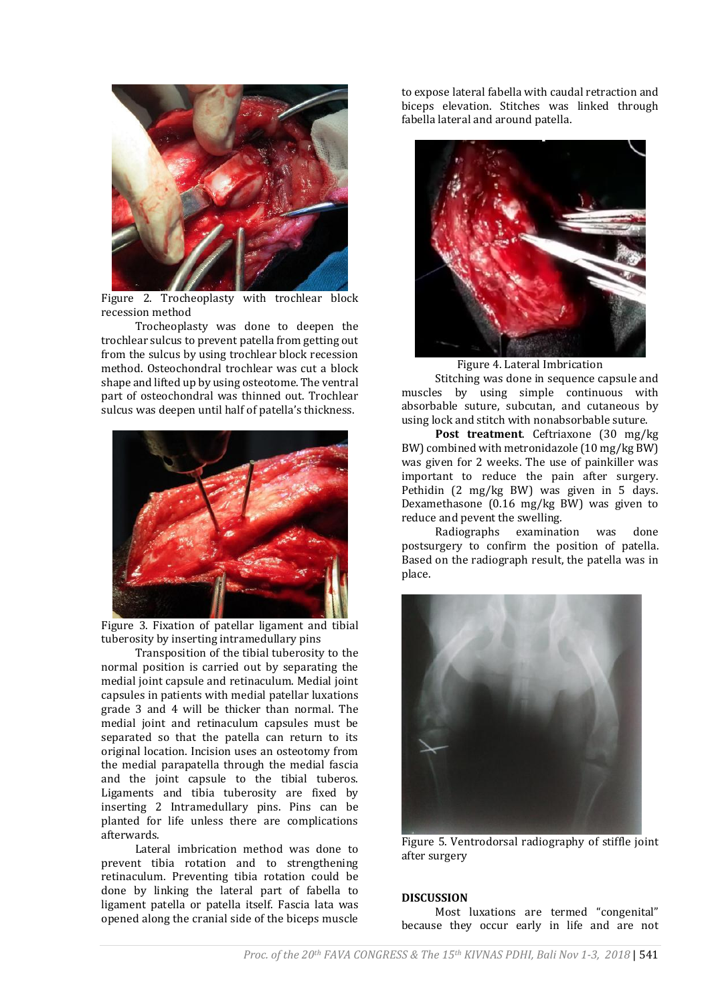

Figure 2. Trocheoplasty with trochlear block recession method

Trocheoplasty was done to deepen the trochlear sulcus to prevent patella from getting out from the sulcus by using trochlear block recession method. Osteochondral trochlear was cut a block shape and lifted up by using osteotome. The ventral part of osteochondral was thinned out. Trochlear sulcus was deepen until half of patella's thickness.



Figure 3. Fixation of patellar ligament and tibial tuberosity by inserting intramedullary pins

Transposition of the tibial tuberosity to the normal position is carried out by separating the medial joint capsule and retinaculum. Medial joint capsules in patients with medial patellar luxations grade 3 and 4 will be thicker than normal. The medial joint and retinaculum capsules must be separated so that the patella can return to its original location. Incision uses an osteotomy from the medial parapatella through the medial fascia and the joint capsule to the tibial tuberos. Ligaments and tibia tuberosity are fixed by inserting 2 Intramedullary pins. Pins can be planted for life unless there are complications afterwards.

Lateral imbrication method was done to prevent tibia rotation and to strengthening retinaculum. Preventing tibia rotation could be done by linking the lateral part of fabella to ligament patella or patella itself. Fascia lata was opened along the cranial side of the biceps muscle

to expose lateral fabella with caudal retraction and biceps elevation. Stitches was linked through fabella lateral and around patella.



Figure 4. Lateral Imbrication

Stitching was done in sequence capsule and muscles by using simple continuous with absorbable suture, subcutan, and cutaneous by using lock and stitch with nonabsorbable suture.

**Post treatment**. Ceftriaxone (30 mg/kg BW) combined with metronidazole (10 mg/kg BW) was given for 2 weeks. The use of painkiller was important to reduce the pain after surgery. Pethidin (2 mg/kg BW) was given in 5 days. Dexamethasone (0.16 mg/kg BW) was given to reduce and pevent the swelling.<br>Radiographs examinat

examination was done postsurgery to confirm the position of patella. Based on the radiograph result, the patella was in place.



Figure 5. Ventrodorsal radiography of stiffle joint after surgery

# **DISCUSSION**

Most luxations are termed "congenital" because they occur early in life and are not